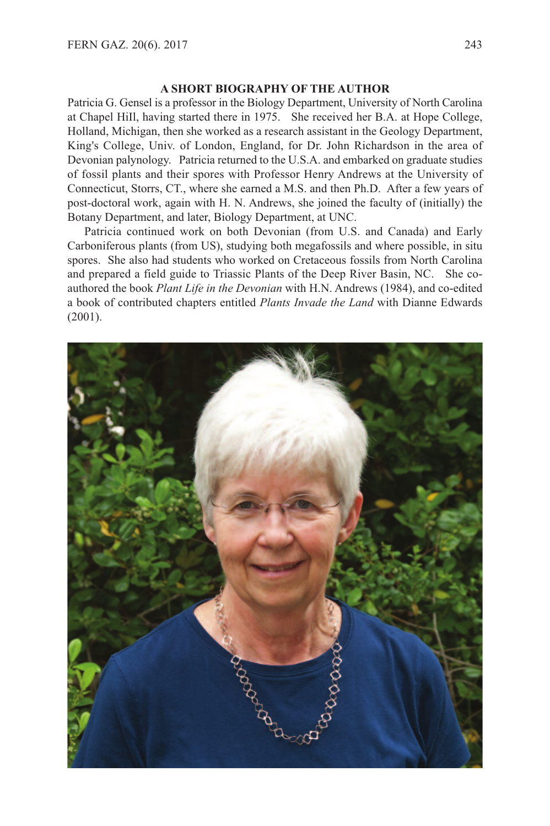## **A SHORT BIOGRAPHY OF THE AUTHOR**

Patricia G. Gensel is a professor in the Biology Department, University of North Carolina at Chapel HiIl, having started there in 1975. She received her B.A. at Hope College, Holland, Michigan, then she worked as a research assistant in the Geology Department, King's College, Univ. of London, England, for Dr. John Richardson in the area of Devonian palynology. Patricia returned to the U.S.A. and embarked on graduate studies of fossil plants and their spores with Professor Henry Andrews at the University of Connecticut, Storrs, CT., where she earned a M.S. and then Ph.D. After a few years of post-doctoral work, again with H. N. Andrews, she joined the faculty of (initially) the Botany Department, and later, Biology Department, at UNC.

Patricia continued work on both Devonian (from U.S. and Canada) and Early Carboniferous plants (from US), studying both megafossils and where possible, in situ spores. She also had students who worked on Cretaceous fossils from North Carolina and prepared a field guide to Triassic Plants of the Deep River Basin, NC. She coauthored the book *Plant Life in the Devonian* with H.N. Andrews (1984), and co-edited a book of contributed chapters entitled *Plants Invade the Land* with Dianne Edwards (2001).